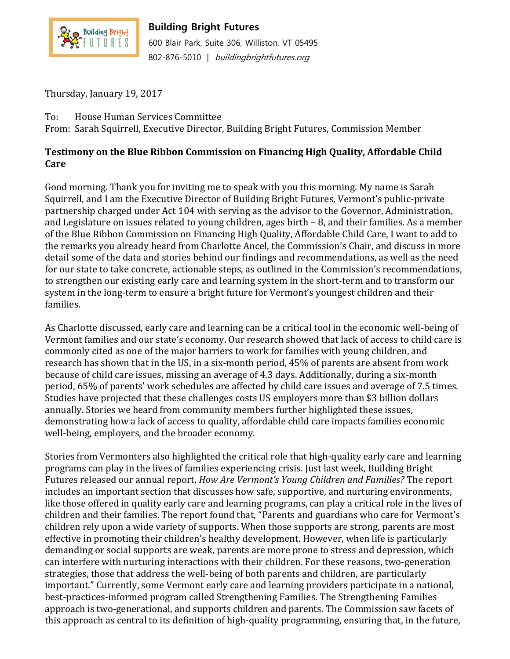

## **Building Bright Futures**

600 Blair Park, Suite 306, Williston, VT 05495 802-876-5010 | buildingbrightfutures.org

Thursday, January 19, 2017

To: House Human Services Committee

From: Sarah Squirrell, Executive Director, Building Bright Futures, Commission Member

## **Testimony on the Blue Ribbon Commission on Financing High Quality, Affordable Child Care**

Good morning. Thank you for inviting me to speak with you this morning. My name is Sarah Squirrell, and I am the Executive Director of Building Bright Futures, Vermont's public-private partnership charged under Act 104 with serving as the advisor to the Governor, Administration, and Legislature on issues related to young children, ages birth – 8, and their families. As a member of the Blue Ribbon Commission on Financing High Quality, Affordable Child Care, I want to add to the remarks you already heard from Charlotte Ancel, the Commission's Chair, and discuss in more detail some of the data and stories behind our findings and recommendations, as well as the need for our state to take concrete, actionable steps, as outlined in the Commission's recommendations, to strengthen our existing early care and learning system in the short-term and to transform our system in the long-term to ensure a bright future for Vermont's youngest children and their families.

As Charlotte discussed, early care and learning can be a critical tool in the economic well-being of Vermont families and our state's economy. Our research showed that lack of access to child care is commonly cited as one of the major barriers to work for families with young children, and research has shown that in the US, in a six-month period, 45% of parents are absent from work because of child care issues, missing an average of 4.3 days. Additionally, during a six-month period, 65% of parents' work schedules are affected by child care issues and average of 7.5 times. Studies have projected that these challenges costs US employers more than \$3 billion dollars annually. Stories we heard from community members further highlighted these issues, demonstrating how a lack of access to quality, affordable child care impacts families economic well-being, employers, and the broader economy.

Stories from Vermonters also highlighted the critical role that high-quality early care and learning programs can play in the lives of families experiencing crisis. Just last week, Building Bright Futures released our annual report, *How Are Vermont's Young Children and Families?* The report includes an important section that discusses how safe, supportive, and nurturing environments, like those offered in quality early care and learning programs, can play a critical role in the lives of children and their families. The report found that, "Parents and guardians who care for Vermont's children rely upon a wide variety of supports. When those supports are strong, parents are most effective in promoting their children's healthy development. However, when life is particularly demanding or social supports are weak, parents are more prone to stress and depression, which can interfere with nurturing interactions with their children. For these reasons, two-generation strategies, those that address the well-being of both parents and children, are particularly important." Currently, some Vermont early care and learning providers participate in a national, best-practices-informed program called Strengthening Families. The Strengthening Families approach is two-generational, and supports children and parents. The Commission saw facets of this approach as central to its definition of high-quality programming, ensuring that, in the future,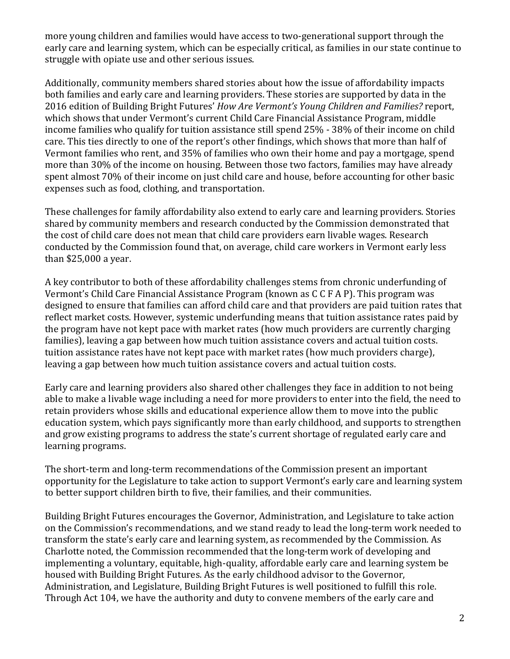more young children and families would have access to two-generational support through the early care and learning system, which can be especially critical, as families in our state continue to struggle with opiate use and other serious issues.

Additionally, community members shared stories about how the issue of affordability impacts both families and early care and learning providers. These stories are supported by data in the 2016 edition of Building Bright Futures' *How Are Vermont's Young Children and Families?* report, which shows that under Vermont's current Child Care Financial Assistance Program, middle income families who qualify for tuition assistance still spend 25% - 38% of their income on child care. This ties directly to one of the report's other findings, which shows that more than half of Vermont families who rent, and 35% of families who own their home and pay a mortgage, spend more than 30% of the income on housing. Between those two factors, families may have already spent almost 70% of their income on just child care and house, before accounting for other basic expenses such as food, clothing, and transportation.

These challenges for family affordability also extend to early care and learning providers. Stories shared by community members and research conducted by the Commission demonstrated that the cost of child care does not mean that child care providers earn livable wages. Research conducted by the Commission found that, on average, child care workers in Vermont early less than \$25,000 a year.

A key contributor to both of these affordability challenges stems from chronic underfunding of Vermont's Child Care Financial Assistance Program (known as C C F A P). This program was designed to ensure that families can afford child care and that providers are paid tuition rates that reflect market costs. However, systemic underfunding means that tuition assistance rates paid by the program have not kept pace with market rates (how much providers are currently charging families), leaving a gap between how much tuition assistance covers and actual tuition costs. tuition assistance rates have not kept pace with market rates (how much providers charge), leaving a gap between how much tuition assistance covers and actual tuition costs.

Early care and learning providers also shared other challenges they face in addition to not being able to make a livable wage including a need for more providers to enter into the field, the need to retain providers whose skills and educational experience allow them to move into the public education system, which pays significantly more than early childhood, and supports to strengthen and grow existing programs to address the state's current shortage of regulated early care and learning programs.

The short-term and long-term recommendations of the Commission present an important opportunity for the Legislature to take action to support Vermont's early care and learning system to better support children birth to five, their families, and their communities.

Building Bright Futures encourages the Governor, Administration, and Legislature to take action on the Commission's recommendations, and we stand ready to lead the long-term work needed to transform the state's early care and learning system, as recommended by the Commission. As Charlotte noted, the Commission recommended that the long-term work of developing and implementing a voluntary, equitable, high-quality, affordable early care and learning system be housed with Building Bright Futures. As the early childhood advisor to the Governor, Administration, and Legislature, Building Bright Futures is well positioned to fulfill this role. Through Act 104, we have the authority and duty to convene members of the early care and